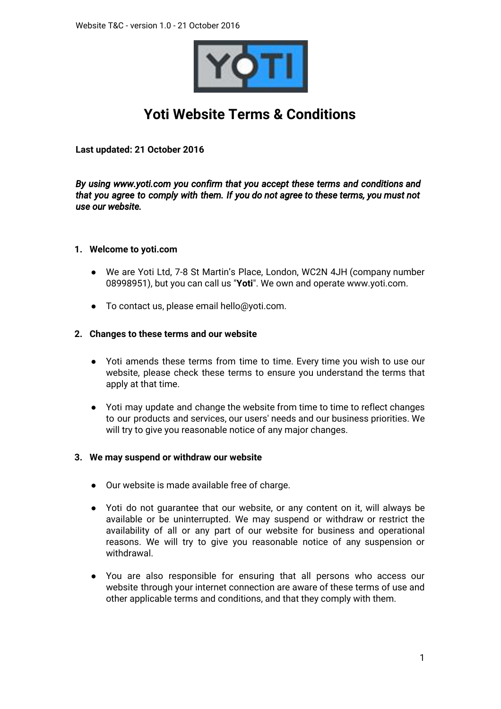

# **Yoti Website Terms & Conditions**

**Last updated: 21 October 2016**

*By using www.yoti.com you confirm that you accept these terms and conditions and that you agree to comply with them. If you do not agree to these terms, you must not use our website.* 

# **1. Welcome to yoti.com**

- We are Yoti Ltd, 7-8 St Martin's Place, London, WC2N 4JH (company number 08998951), but you can call us "**Yoti**". We own and operate www.yoti.com.
- To contact us, please email hello@yoti.com.

# **2. Changes to these terms and our website**

- Yoti amends these terms from time to time. Every time you wish to use our website, please check these terms to ensure you understand the terms that apply at that time.
- Yoti may update and change the website from time to time to reflect changes to our products and services, our users' needs and our business priorities. We will try to give you reasonable notice of any major changes.

#### **3. We may suspend or withdraw our website**

- Our website is made available free of charge.
- Yoti do not guarantee that our website, or any content on it, will always be available or be uninterrupted. We may suspend or withdraw or restrict the availability of all or any part of our website for business and operational reasons. We will try to give you reasonable notice of any suspension or withdrawal.
- You are also responsible for ensuring that all persons who access our website through your internet connection are aware of these terms of use and other applicable terms and conditions, and that they comply with them.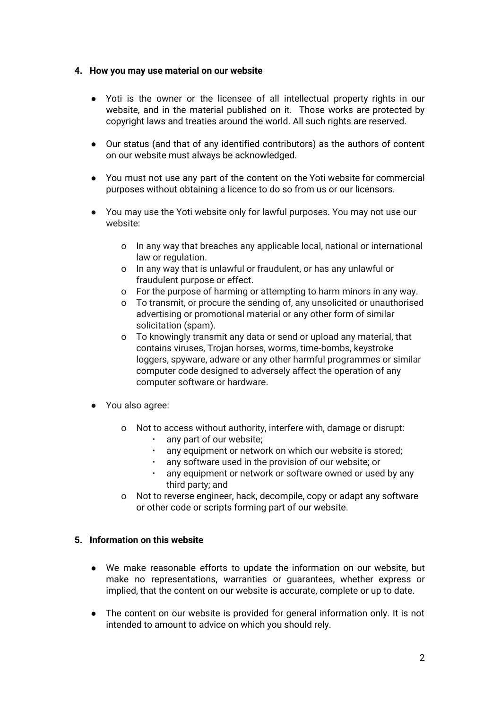#### **4. How you may use material on our website**

- Yoti is the owner or the licensee of all intellectual property rights in our website, and in the material published on it. Those works are protected by copyright laws and treaties around the world. All such rights are reserved.
- Our status (and that of any identified contributors) as the authors of content on our website must always be acknowledged.
- You must not use any part of the content on the Yoti website for commercial purposes without obtaining a licence to do so from us or our licensors.
- You may use the Yoti website only for lawful purposes. You may not use our website:
	- o In any way that breaches any applicable local, national or international law or regulation.
	- o In any way that is unlawful or fraudulent, or has any unlawful or fraudulent purpose or effect.
	- o For the purpose of harming or attempting to harm minors in any way.
	- o To transmit, or procure the sending of, any unsolicited or unauthorised advertising or promotional material or any other form of similar solicitation (spam).
	- o To knowingly transmit any data or send or upload any material, that contains viruses, Trojan horses, worms, time-bombs, keystroke loggers, spyware, adware or any other harmful programmes or similar computer code designed to adversely affect the operation of any computer software or hardware.
- You also agree:
	- o Not to access without authority, interfere with, damage or disrupt:
		- any part of our website;
		- any equipment or network on which our website is stored;
		- any software used in the provision of our website; or
		- any equipment or network or software owned or used by any third party; and
	- o Not to reverse engineer, hack, decompile, copy or adapt any software or other code or scripts forming part of our website.

# **5. Information on this website**

- We make reasonable efforts to update the information on our website, but make no representations, warranties or guarantees, whether express or implied, that the content on our website is accurate, complete or up to date.
- The content on our website is provided for general information only. It is not intended to amount to advice on which you should rely.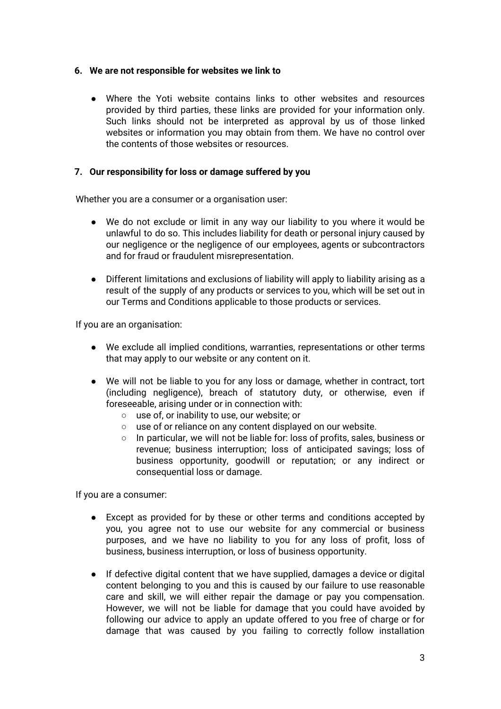#### **6. We are not responsible for websites we link to**

● Where the Yoti website contains links to other websites and resources provided by third parties, these links are provided for your information only. Such links should not be interpreted as approval by us of those linked websites or information you may obtain from them. We have no control over the contents of those websites or resources.

# **7. Our responsibility for loss or damage suffered by you**

Whether you are a consumer or a organisation user:

- We do not exclude or limit in any way our liability to you where it would be unlawful to do so. This includes liability for death or personal injury caused by our negligence or the negligence of our employees, agents or subcontractors and for fraud or fraudulent misrepresentation.
- Different limitations and exclusions of liability will apply to liability arising as a result of the supply of any products or services to you, which will be set out in our Terms and Conditions applicable to those products or services.

If you are an organisation:

- We exclude all implied conditions, warranties, representations or other terms that may apply to our website or any content on it.
- We will not be liable to you for any loss or damage, whether in contract, tort (including negligence), breach of statutory duty, or otherwise, even if foreseeable, arising under or in connection with:
	- use of, or inability to use, our website; or
	- use of or reliance on any content displayed on our website.
	- In particular, we will not be liable for: loss of profits, sales, business or revenue; business interruption; loss of anticipated savings; loss of business opportunity, goodwill or reputation; or any indirect or consequential loss or damage.

If you are a consumer:

- Except as provided for by these or other terms and conditions accepted by you, you agree not to use our website for any commercial or business purposes, and we have no liability to you for any loss of profit, loss of business, business interruption, or loss of business opportunity.
- If defective digital content that we have supplied, damages a device or digital content belonging to you and this is caused by our failure to use reasonable care and skill, we will either repair the damage or pay you compensation. However, we will not be liable for damage that you could have avoided by following our advice to apply an update offered to you free of charge or for damage that was caused by you failing to correctly follow installation